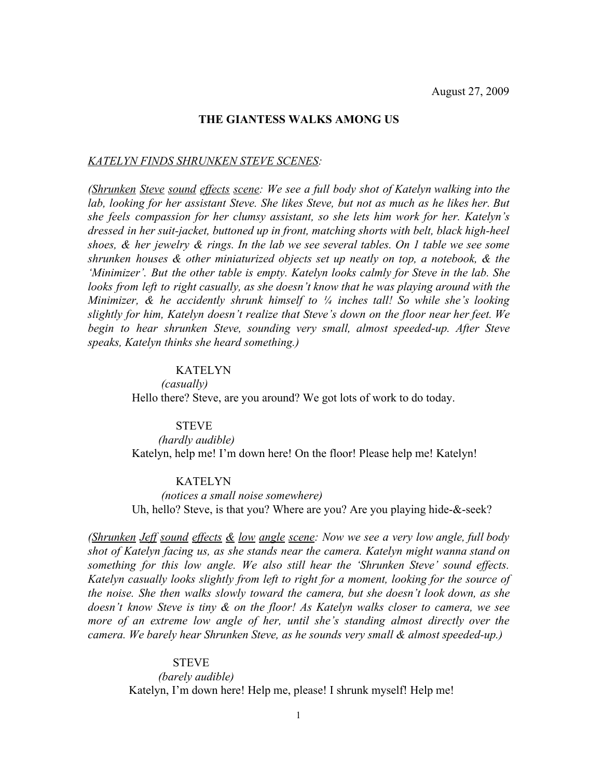### **THE GIANTESS WALKS AMONG US**

#### *KATELYN FINDS SHRUNKEN STEVE SCENES:*

*(Shrunken Steve sound effects scene: We see a full body shot of Katelyn walking into the lab, looking for her assistant Steve. She likes Steve, but not as much as he likes her. But she feels compassion for her clumsy assistant, so she lets him work for her. Katelyn's dressed in her suit-jacket, buttoned up in front, matching shorts with belt, black high-heel shoes, & her jewelry & rings. In the lab we see several tables. On 1 table we see some shrunken houses & other miniaturized objects set up neatly on top, a notebook, & the 'Minimizer'. But the other table is empty. Katelyn looks calmly for Steve in the lab. She looks from left to right casually, as she doesn't know that he was playing around with the Minimizer, & he accidently shrunk himself to ¼ inches tall! So while she's looking slightly for him, Katelyn doesn't realize that Steve's down on the floor near her feet. We begin to hear shrunken Steve, sounding very small, almost speeded-up. After Steve speaks, Katelyn thinks she heard something.)*

### KATELYN

 *(casually)* Hello there? Steve, are you around? We got lots of work to do today.

#### **STEVE**

 *(hardly audible)* Katelyn, help me! I'm down here! On the floor! Please help me! Katelyn!

### KATELYN

 *(notices a small noise somewhere)* Uh, hello? Steve, is that you? Where are you? Are you playing hide-&-seek?

*(Shrunken Jeff sound effects & low angle scene: Now we see a very low angle, full body shot of Katelyn facing us, as she stands near the camera. Katelyn might wanna stand on something for this low angle. We also still hear the 'Shrunken Steve' sound effects. Katelyn casually looks slightly from left to right for a moment, looking for the source of the noise. She then walks slowly toward the camera, but she doesn't look down, as she doesn't know Steve is tiny & on the floor! As Katelyn walks closer to camera, we see more of an extreme low angle of her, until she's standing almost directly over the camera. We barely hear Shrunken Steve, as he sounds very small & almost speeded-up.)*

#### STEVE

 *(barely audible)* Katelyn, I'm down here! Help me, please! I shrunk myself! Help me!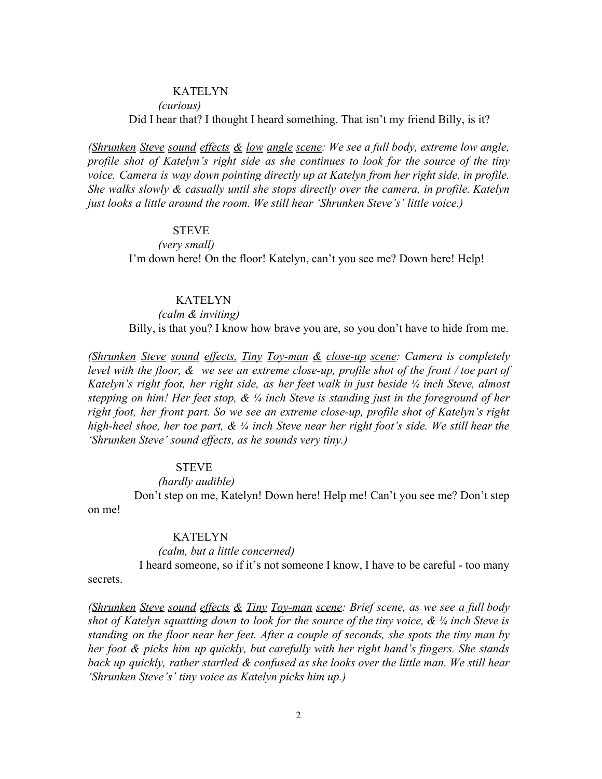*(curious)*

Did I hear that? I thought I heard something. That isn't my friend Billy, is it?

*(Shrunken Steve sound effects & low angle scene: We see a full body, extreme low angle, profile shot of Katelyn's right side as she continues to look for the source of the tiny voice. Camera is way down pointing directly up at Katelyn from her right side, in profile. She walks slowly & casually until she stops directly over the camera, in profile. Katelyn just looks a little around the room. We still hear 'Shrunken Steve's' little voice.)*

# STEVE

 *(very small)* I'm down here! On the floor! Katelyn, can't you see me? Down here! Help!

### **KATELYN**

 *(calm & inviting)* Billy, is that you? I know how brave you are, so you don't have to hide from me.

*(Shrunken Steve sound effects, Tiny Toy-man & close-up scene: Camera is completely level with the floor, & we see an extreme close-up, profile shot of the front / toe part of Katelyn's right foot, her right side, as her feet walk in just beside ¼ inch Steve, almost stepping on him! Her feet stop, & ¼ inch Steve is standing just in the foreground of her right foot, her front part. So we see an extreme close-up, profile shot of Katelyn's right high-heel shoe, her toe part, & ¼ inch Steve near her right foot's side. We still hear the 'Shrunken Steve' sound effects, as he sounds very tiny.)*

# STEVE

### *(hardly audible)*

Don't step on me, Katelyn! Down here! Help me! Can't you see me? Don't step on me!

# **KATELYN**

#### *(calm, but a little concerned)*

I heard someone, so if it's not someone I know, I have to be careful - too many

secrets.

*(Shrunken Steve sound effects & Tiny Toy-man scene: Brief scene, as we see a full body shot of Katelyn squatting down to look for the source of the tiny voice, & ¼ inch Steve is standing on the floor near her feet. After a couple of seconds, she spots the tiny man by her foot & picks him up quickly, but carefully with her right hand's fingers. She stands back up quickly, rather startled & confused as she looks over the little man. We still hear 'Shrunken Steve's' tiny voice as Katelyn picks him up.)*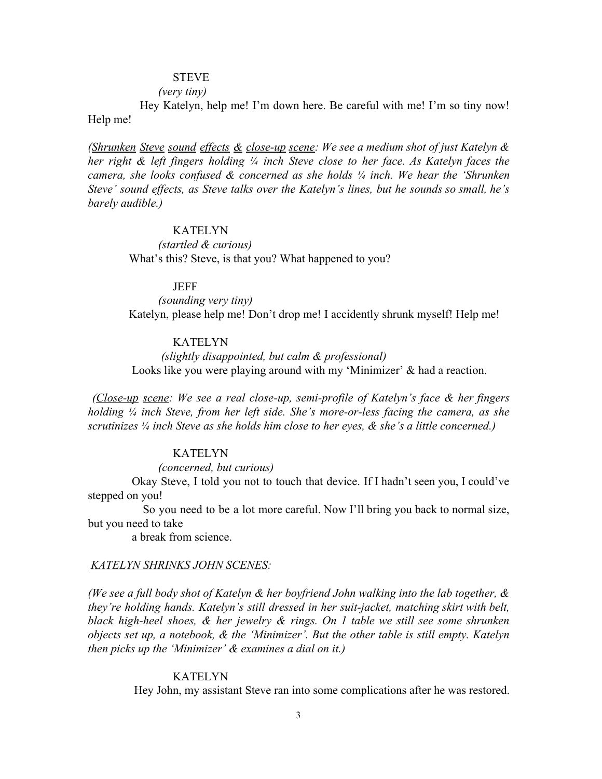# STEVE

### *(very tiny)*

Hey Katelyn, help me! I'm down here. Be careful with me! I'm so tiny now! Help me!

*(Shrunken Steve sound effects & close-up scene: We see a medium shot of just Katelyn & her right & left fingers holding ¼ inch Steve close to her face. As Katelyn faces the camera, she looks confused & concerned as she holds ¼ inch. We hear the 'Shrunken Steve' sound effects, as Steve talks over the Katelyn's lines, but he sounds so small, he's barely audible.)*

# KATELYN

 *(startled & curious)* What's this? Steve, is that you? What happened to you?

#### JEFF

 *(sounding very tiny)* Katelyn, please help me! Don't drop me! I accidently shrunk myself! Help me!

# KATELYN

 *(slightly disappointed, but calm & professional)* Looks like you were playing around with my 'Minimizer' & had a reaction.

*(Close-up scene: We see a real close-up, semi-profile of Katelyn's face & her fingers holding ¼ inch Steve, from her left side. She's more-or-less facing the camera, as she scrutinizes ¼ inch Steve as she holds him close to her eyes, & she's a little concerned.)*

#### KATELYN

*(concerned, but curious)*

Okay Steve, I told you not to touch that device. If I hadn't seen you, I could've stepped on you!

So you need to be a lot more careful. Now I'll bring you back to normal size, but you need to take

a break from science.

#### *KATELYN SHRINKS JOHN SCENES:*

*(We see a full body shot of Katelyn & her boyfriend John walking into the lab together, & they're holding hands. Katelyn's still dressed in her suit-jacket, matching skirt with belt, black high-heel shoes, & her jewelry & rings. On 1 table we still see some shrunken objects set up, a notebook, & the 'Minimizer'. But the other table is still empty. Katelyn then picks up the 'Minimizer' & examines a dial on it.)*

#### KATELYN

Hey John, my assistant Steve ran into some complications after he was restored.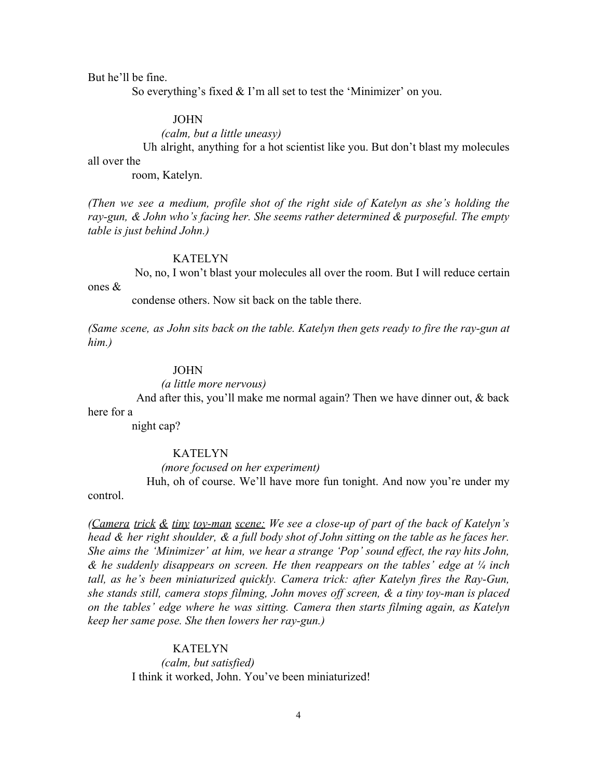But he'll be fine.

So everything's fixed & I'm all set to test the 'Minimizer' on you.

### JOHN

 *(calm, but a little uneasy)*

Uh alright, anything for a hot scientist like you. But don't blast my molecules

# all over the

room, Katelyn.

*(Then we see a medium, profile shot of the right side of Katelyn as she's holding the ray-gun, & John who's facing her. She seems rather determined & purposeful. The empty table is just behind John.)*

#### KATELYN

No, no, I won't blast your molecules all over the room. But I will reduce certain ones &

condense others. Now sit back on the table there.

*(Same scene, as John sits back on the table. Katelyn then gets ready to fire the ray-gun at him.)*

### JOHN

### *(a little more nervous)*

And after this, you'll make me normal again? Then we have dinner out, & back here for a

night cap?

#### KATELYN

*(more focused on her experiment)*

Huh, oh of course. We'll have more fun tonight. And now you're under my control.

*(Camera trick & tiny toy-man scene: We see a close-up of part of the back of Katelyn's* head  $\&$  her right shoulder,  $\&$  a full body shot of John sitting on the table as he faces her. *She aims the 'Minimizer' at him, we hear a strange 'Pop' sound effect, the ray hits John, & he suddenly disappears on screen. He then reappears on the tables' edge at ¼ inch tall, as he's been miniaturized quickly. Camera trick: after Katelyn fires the Ray-Gun, she stands still, camera stops filming, John moves off screen, & a tiny toy-man is placed on the tables' edge where he was sitting. Camera then starts filming again, as Katelyn keep her same pose. She then lowers her ray-gun.)*

#### KATELYN

 *(calm, but satisfied)* I think it worked, John. You've been miniaturized!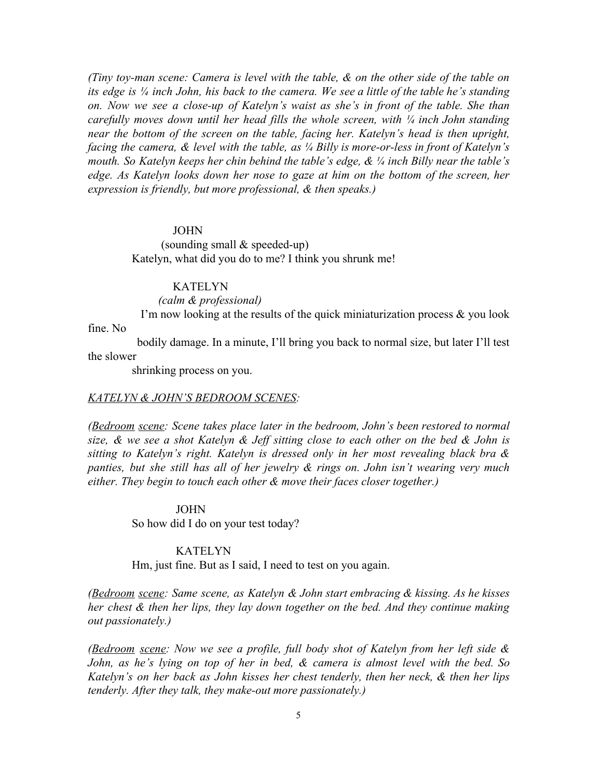*(Tiny toy-man scene: Camera is level with the table, & on the other side of the table on* its edge is  $\frac{1}{4}$  inch John, his back to the camera. We see a little of the table he's standing *on. Now we see a close-up of Katelyn's waist as she's in front of the table. She than carefully moves down until her head fills the whole screen, with ¼ inch John standing near the bottom of the screen on the table, facing her. Katelyn's head is then upright, facing the camera, & level with the table, as ¼ Billy is more-or-less in front of Katelyn's mouth. So Katelyn keeps her chin behind the table's edge, & ¼ inch Billy near the table's edge. As Katelyn looks down her nose to gaze at him on the bottom of the screen, her expression is friendly, but more professional, & then speaks.)*

#### JOHN

 (sounding small & speeded-up) Katelyn, what did you do to me? I think you shrunk me!

# KATELYN

 *(calm & professional)*

I'm now looking at the results of the quick miniaturization process  $\&$  you look

fine. No

bodily damage. In a minute, I'll bring you back to normal size, but later I'll test the slower

shrinking process on you.

#### *KATELYN & JOHN'S BEDROOM SCENES:*

*(Bedroom scene: Scene takes place later in the bedroom, John's been restored to normal* size, & we see a shot Katelyn & Jeff sitting close to each other on the bed & John is *sitting to Katelyn's right. Katelyn is dressed only in her most revealing black bra & panties, but she still has all of her jewelry & rings on. John isn't wearing very much either. They begin to touch each other & move their faces closer together.)*

JOHN

So how did I do on your test today?

### **KATELYN**

Hm, just fine. But as I said, I need to test on you again.

*(Bedroom scene: Same scene, as Katelyn & John start embracing & kissing. As he kisses her chest & then her lips, they lay down together on the bed. And they continue making out passionately.)*

*(Bedroom scene: Now we see a profile, full body shot of Katelyn from her left side & John, as he's lying on top of her in bed, & camera is almost level with the bed. So Katelyn's on her back as John kisses her chest tenderly, then her neck, & then her lips tenderly. After they talk, they make-out more passionately.)*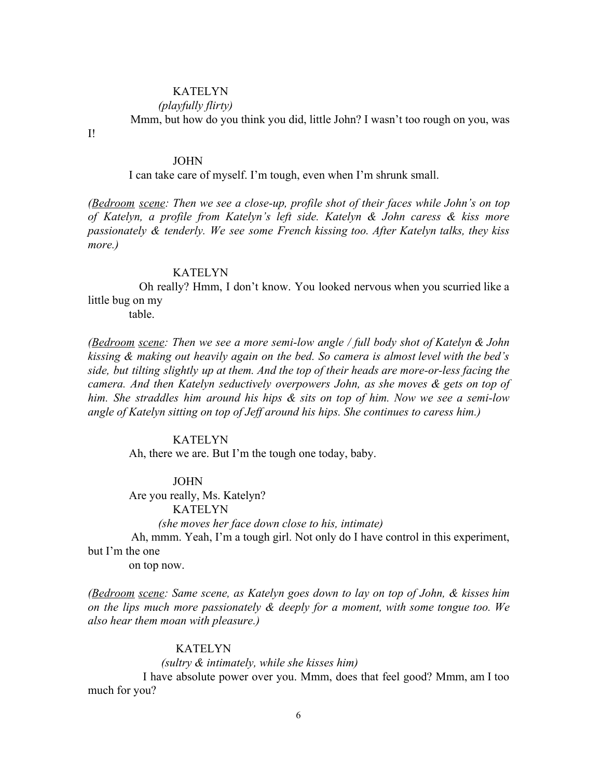*(playfully flirty)*

Mmm, but how do you think you did, little John? I wasn't too rough on you, was

I!

### JOHN

I can take care of myself. I'm tough, even when I'm shrunk small.

*(Bedroom scene: Then we see a close-up, profile shot of their faces while John's on top of Katelyn, a profile from Katelyn's left side. Katelyn & John caress & kiss more passionately & tenderly. We see some French kissing too. After Katelyn talks, they kiss more.)*

### KATELYN

Oh really? Hmm, I don't know. You looked nervous when you scurried like a little bug on my

table.

*(Bedroom scene: Then we see a more semi-low angle / full body shot of Katelyn & John kissing & making out heavily again on the bed. So camera is almost level with the bed's side, but tilting slightly up at them. And the top of their heads are more-or-less facing the camera. And then Katelyn seductively overpowers John, as she moves & gets on top of him. She straddles him around his hips & sits on top of him. Now we see a semi-low angle of Katelyn sitting on top of Jeff around his hips. She continues to caress him.)*

### KATELYN

Ah, there we are. But I'm the tough one today, baby.

### JOHN

 Are you really, Ms. Katelyn? KATELYN

 *(she moves her face down close to his, intimate)*

Ah, mmm. Yeah, I'm a tough girl. Not only do I have control in this experiment, but I'm the one

on top now.

*(Bedroom scene: Same scene, as Katelyn goes down to lay on top of John, & kisses him on the lips much more passionately & deeply for a moment, with some tongue too. We also hear them moan with pleasure.)*

# KATELYN

# *(sultry & intimately, while she kisses him)*

I have absolute power over you. Mmm, does that feel good? Mmm, am I too much for you?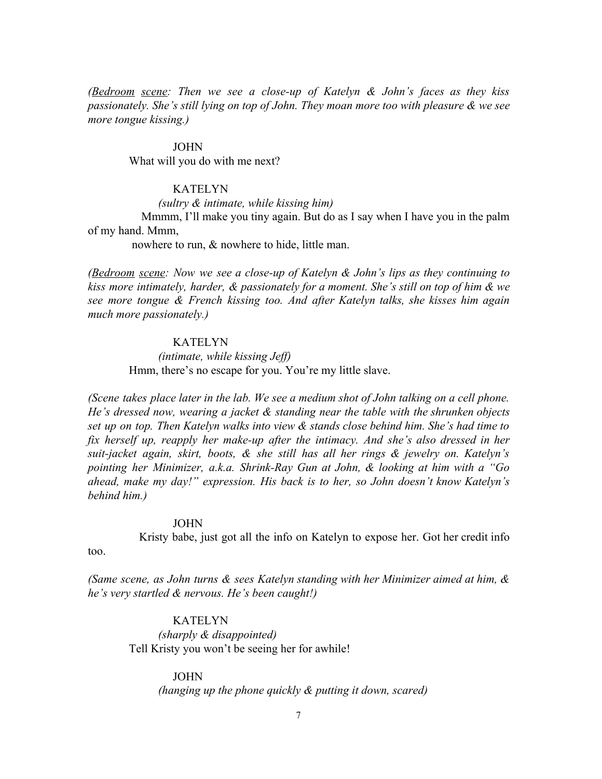*(Bedroom scene: Then we see a close-up of Katelyn & John's faces as they kiss passionately. She's still lying on top of John. They moan more too with pleasure & we see more tongue kissing.)*

### JOHN

What will you do with me next?

### **KATELYN**

 *(sultry & intimate, while kissing him)* Mmmm, I'll make you tiny again. But do as I say when I have you in the palm

of my hand. Mmm,

nowhere to run, & nowhere to hide, little man.

*(Bedroom scene: Now we see a close-up of Katelyn & John's lips as they continuing to kiss more intimately, harder, & passionately for a moment. She's still on top of him & we see more tongue & French kissing too. And after Katelyn talks, she kisses him again much more passionately.)*

# KATELYN

 *(intimate, while kissing Jeff)* Hmm, there's no escape for you. You're my little slave.

*(Scene takes place later in the lab. We see a medium shot of John talking on a cell phone. He's dressed now, wearing a jacket & standing near the table with the shrunken objects set up on top. Then Katelyn walks into view & stands close behind him. She's had time to fix herself up, reapply her make-up after the intimacy. And she's also dressed in her suit-jacket again, skirt, boots, & she still has all her rings & jewelry on. Katelyn's pointing her Minimizer, a.k.a. Shrink-Ray Gun at John, & looking at him with a "Go ahead, make my day!" expression. His back is to her, so John doesn't know Katelyn's behind him.)*

#### JOHN

Kristy babe, just got all the info on Katelyn to expose her. Got her credit info

too.

*(Same scene, as John turns & sees Katelyn standing with her Minimizer aimed at him, & he's very startled & nervous. He's been caught!)*

### KATELYN  *(sharply & disappointed)*

Tell Kristy you won't be seeing her for awhile!

#### JOHN

 *(hanging up the phone quickly & putting it down, scared)*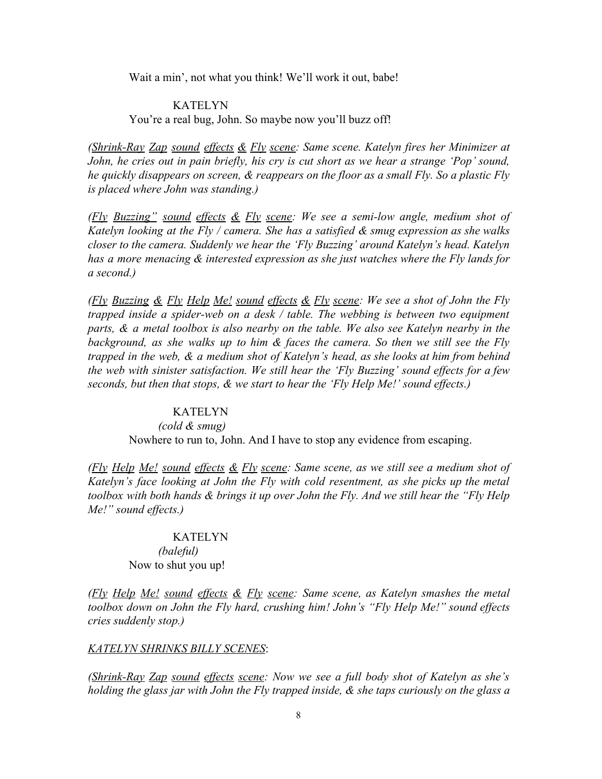Wait a min', not what you think! We'll work it out, babe!

# KATELYN You're a real bug, John. So maybe now you'll buzz off!

*(Shrink-Ray Zap sound effects & Fly scene: Same scene. Katelyn fires her Minimizer at John, he cries out in pain briefly, his cry is cut short as we hear a strange 'Pop' sound, he quickly disappears on screen, & reappears on the floor as a small Fly. So a plastic Fly is placed where John was standing.)*

*(Fly Buzzing" sound effects & Fly scene: We see a semi-low angle, medium shot of Katelyn looking at the Fly / camera. She has a satisfied & smug expression as she walks closer to the camera. Suddenly we hear the 'Fly Buzzing' around Katelyn's head. Katelyn has a more menacing & interested expression as she just watches where the Fly lands for a second.)*

*(Fly Buzzing & Fly Help Me! sound effects & Fly scene: We see a shot of John the Fly trapped inside a spider-web on a desk / table. The webbing is between two equipment parts, & a metal toolbox is also nearby on the table. We also see Katelyn nearby in the background, as she walks up to him & faces the camera. So then we still see the Fly trapped in the web, & a medium shot of Katelyn's head, as she looks at him from behind the web with sinister satisfaction. We still hear the 'Fly Buzzing' sound effects for a few seconds, but then that stops, & we start to hear the 'Fly Help Me!' sound effects.)*

### KATELYN

 *(cold & smug)* Nowhere to run to, John. And I have to stop any evidence from escaping.

*(Fly Help Me! sound effects & Fly scene: Same scene, as we still see a medium shot of Katelyn's face looking at John the Fly with cold resentment, as she picks up the metal toolbox with both hands & brings it up over John the Fly. And we still hear the "Fly Help Me!" sound effects.)*

# KATELYN  *(baleful)* Now to shut you up!

*(Fly Help Me! sound effects & Fly scene: Same scene, as Katelyn smashes the metal toolbox down on John the Fly hard, crushing him! John's "Fly Help Me!" sound effects cries suddenly stop.)*

#### *KATELYN SHRINKS BILLY SCENES*:

*(Shrink-Ray Zap sound effects scene: Now we see a full body shot of Katelyn as she's holding the glass jar with John the Fly trapped inside, & she taps curiously on the glass a*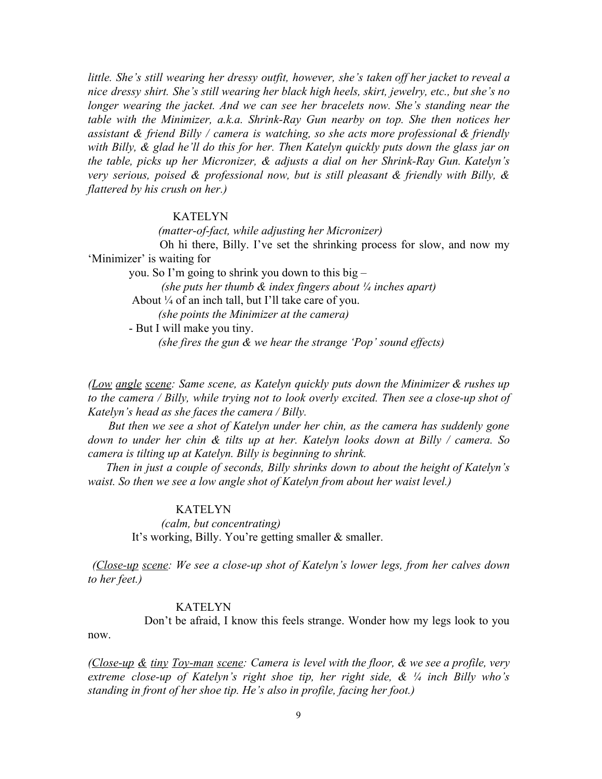*little. She's still wearing her dressy outfit, however, she's taken off her jacket to reveal a nice dressy shirt. She's still wearing her black high heels, skirt, jewelry, etc., but she's no longer wearing the jacket. And we can see her bracelets now. She's standing near the table with the Minimizer, a.k.a. Shrink-Ray Gun nearby on top. She then notices her assistant & friend Billy / camera is watching, so she acts more professional & friendly with Billy, & glad he'll do this for her. Then Katelyn quickly puts down the glass jar on the table, picks up her Micronizer, & adjusts a dial on her Shrink-Ray Gun. Katelyn's very serious, poised & professional now, but is still pleasant & friendly with Billy, & flattered by his crush on her.)*

# KATELYN

 *(matter-of-fact, while adjusting her Micronizer)* Oh hi there, Billy. I've set the shrinking process for slow, and now my 'Minimizer' is waiting for you. So I'm going to shrink you down to this big –  *(she puts her thumb & index fingers about ¼ inches apart)* About ¼ of an inch tall, but I'll take care of you.  *(she points the Minimizer at the camera)* - But I will make you tiny.  *(she fires the gun & we hear the strange 'Pop' sound effects)*

*(Low angle scene: Same scene, as Katelyn quickly puts down the Minimizer & rushes up to the camera / Billy, while trying not to look overly excited. Then see a close-up shot of Katelyn's head as she faces the camera / Billy.*

*But then we see a shot of Katelyn under her chin, as the camera has suddenly gone down to under her chin & tilts up at her. Katelyn looks down at Billy / camera. So camera is tilting up at Katelyn. Billy is beginning to shrink.*

*Then in just a couple of seconds, Billy shrinks down to about the height of Katelyn's waist. So then we see a low angle shot of Katelyn from about her waist level.)*

# KATELYN

 *(calm, but concentrating)* It's working, Billy. You're getting smaller & smaller.

*(Close-up scene: We see a close-up shot of Katelyn's lower legs, from her calves down to her feet.)*

# KATELYN

Don't be afraid, I know this feels strange. Wonder how my legs look to you now.

*(Close-up & tiny Toy-man scene: Camera is level with the floor, & we see a profile, very extreme close-up of Katelyn's right shoe tip, her right side, & ¼ inch Billy who's standing in front of her shoe tip. He's also in profile, facing her foot.)*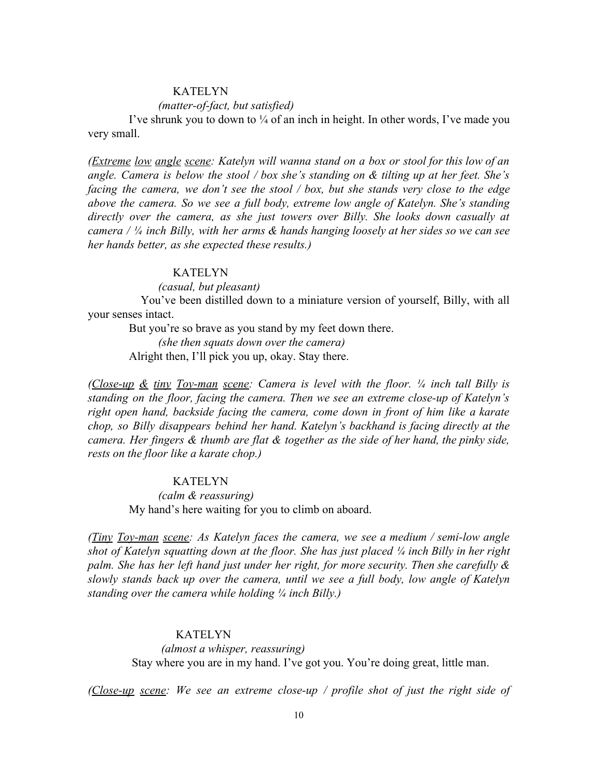### *(matter-of-fact, but satisfied)*

I've shrunk you to down to  $\frac{1}{4}$  of an inch in height. In other words, I've made you very small.

*(Extreme low angle scene: Katelyn will wanna stand on a box or stool for this low of an angle. Camera is below the stool / box she's standing on & tilting up at her feet. She's facing the camera, we don't see the stool / box, but she stands very close to the edge above the camera. So we see a full body, extreme low angle of Katelyn. She's standing directly over the camera, as she just towers over Billy. She looks down casually at camera / ¼ inch Billy, with her arms & hands hanging loosely at her sides so we can see her hands better, as she expected these results.)*

#### KATELYN

*(casual, but pleasant)*

You've been distilled down to a miniature version of yourself, Billy, with all your senses intact.

But you're so brave as you stand by my feet down there.

 *(she then squats down over the camera)* Alright then, I'll pick you up, okay. Stay there.

*(Close-up & tiny Toy-man scene: Camera is level with the floor. ¼ inch tall Billy is standing on the floor, facing the camera. Then we see an extreme close-up of Katelyn's right open hand, backside facing the camera, come down in front of him like a karate chop, so Billy disappears behind her hand. Katelyn's backhand is facing directly at the camera. Her fingers & thumb are flat & together as the side of her hand, the pinky side, rests on the floor like a karate chop.)*

# KATELYN

 *(calm & reassuring)* My hand's here waiting for you to climb on aboard.

*(Tiny Toy-man scene: As Katelyn faces the camera, we see a medium / semi-low angle shot of Katelyn squatting down at the floor. She has just placed ¼ inch Billy in her right palm. She has her left hand just under her right, for more security. Then she carefully & slowly stands back up over the camera, until we see a full body, low angle of Katelyn standing over the camera while holding ¼ inch Billy.)*

# KATELYN

 *(almost a whisper, reassuring)* Stay where you are in my hand. I've got you. You're doing great, little man.

*(Close-up scene: We see an extreme close-up / profile shot of just the right side of*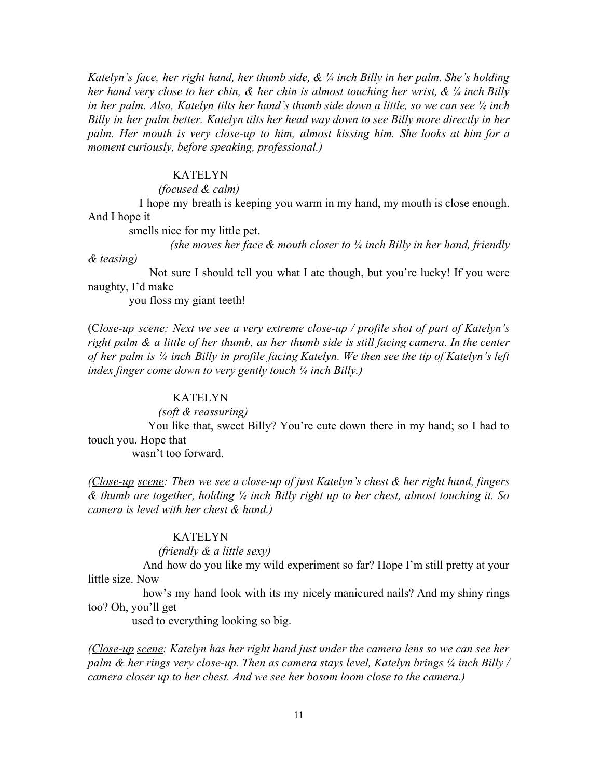*Katelyn's face, her right hand, her thumb side, & ¼ inch Billy in her palm. She's holding her hand very close to her chin, & her chin is almost touching her wrist, & ¼ inch Billy in her palm. Also, Katelyn tilts her hand's thumb side down a little, so we can see ¼ inch Billy in her palm better. Katelyn tilts her head way down to see Billy more directly in her palm. Her mouth is very close-up to him, almost kissing him. She looks at him for a moment curiously, before speaking, professional.)*

#### KATELYN

### *(focused & calm)*

I hope my breath is keeping you warm in my hand, my mouth is close enough. And I hope it

smells nice for my little pet.

*(she moves her face & mouth closer to ¼ inch Billy in her hand, friendly*

Not sure I should tell you what I ate though, but you're lucky! If you were naughty, I'd make

you floss my giant teeth!

*& teasing)*

(C*lose-up scene: Next we see a very extreme close-up / profile shot of part of Katelyn's right palm & a little of her thumb, as her thumb side is still facing camera. In the center* of her palm is 1/4 inch Billy in profile facing Katelyn. We then see the tip of Katelyn's left *index finger come down to very gently touch ¼ inch Billy.)*

#### KATELYN

 *(soft & reassuring)*

You like that, sweet Billy? You're cute down there in my hand; so I had to touch you. Hope that

wasn't too forward.

*(Close-up scene: Then we see a close-up of just Katelyn's chest & her right hand, fingers & thumb are together, holding ¼ inch Billy right up to her chest, almost touching it. So camera is level with her chest & hand.)*

### KATELYN

# *(friendly & a little sexy)*

And how do you like my wild experiment so far? Hope I'm still pretty at your little size. Now

how's my hand look with its my nicely manicured nails? And my shiny rings too? Oh, you'll get

used to everything looking so big.

*(Close-up scene: Katelyn has her right hand just under the camera lens so we can see her palm & her rings very close-up. Then as camera stays level, Katelyn brings ¼ inch Billy / camera closer up to her chest. And we see her bosom loom close to the camera.)*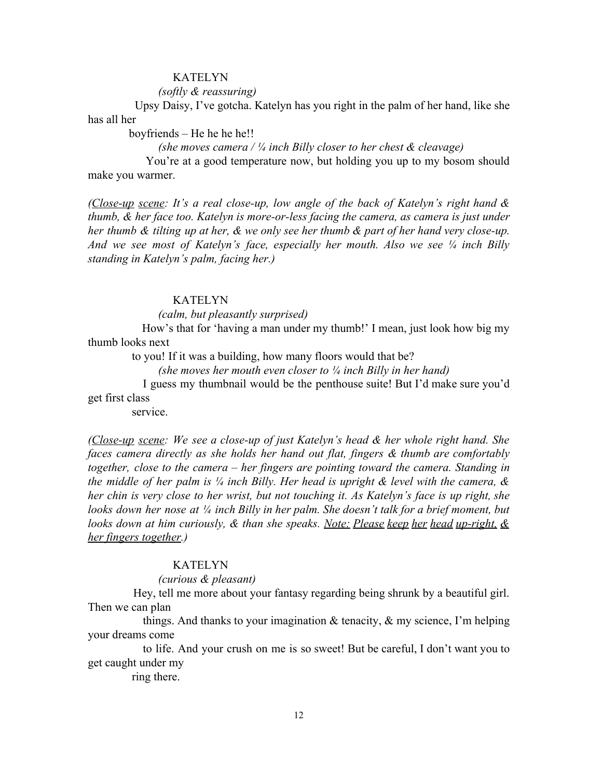#### *(softly & reassuring)*

Upsy Daisy, I've gotcha. Katelyn has you right in the palm of her hand, like she has all her

boyfriends – He he he he!!

*(she moves camera / ¼ inch Billy closer to her chest & cleavage)*

You're at a good temperature now, but holding you up to my bosom should make you warmer.

*(Close-up scene: It's a real close-up, low angle of the back of Katelyn's right hand & thumb, & her face too. Katelyn is more-or-less facing the camera, as camera is just under* her thumb & tilting up at her, & we only see her thumb & part of her hand very close-up. *And we see most of Katelyn's face, especially her mouth. Also we see ¼ inch Billy standing in Katelyn's palm, facing her.)*

### **KATELYN**

*(calm, but pleasantly surprised)*

How's that for 'having a man under my thumb!' I mean, just look how big my thumb looks next

to you! If it was a building, how many floors would that be?

*(she moves her mouth even closer to ¼ inch Billy in her hand)*

I guess my thumbnail would be the penthouse suite! But I'd make sure you'd get first class

service.

*(Close-up scene: We see a close-up of just Katelyn's head & her whole right hand. She faces camera directly as she holds her hand out flat, fingers & thumb are comfortably together, close to the camera – her fingers are pointing toward the camera. Standing in the middle of her palm is ¼ inch Billy. Her head is upright & level with the camera, &* her chin is very close to her wrist, but not touching it. As Katelyn's face is up right, she *looks down her nose at ¼ inch Billy in her palm. She doesn't talk for a brief moment, but looks down at him curiously, & than she speaks. Note: Please keep her head up-right, & her fingers together.)*

### **KATELYN**

#### *(curious & pleasant)*

Hey, tell me more about your fantasy regarding being shrunk by a beautiful girl. Then we can plan

things. And thanks to your imagination  $\&$  tenacity,  $\&$  my science, I'm helping your dreams come

to life. And your crush on me is so sweet! But be careful, I don't want you to get caught under my

ring there.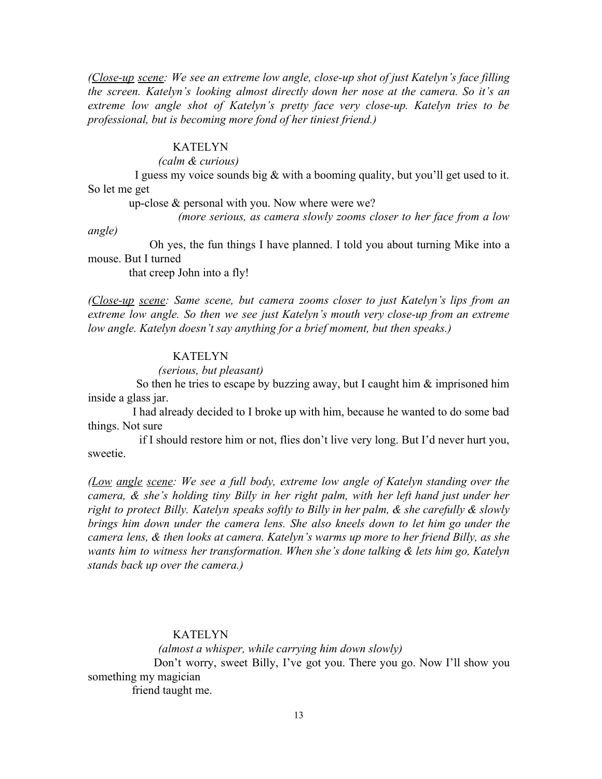*(Close-up scene: We see an extreme low angle, close-up shot of just Katelyn's face filling the screen. Katelyn's looking almost directly down her nose at the camera. So it's an extreme low angle shot of Katelyn's pretty face very close-up. Katelyn tries to be professional, but is becoming more fond of her tiniest friend.)*

# KATELYN

 *(calm & curious)*

I guess my voice sounds big  $\&$  with a booming quality, but you'll get used to it. So let me get

up-close & personal with you. Now where were we?

*(more serious, as camera slowly zooms closer to her face from a low*

*angle)*

Oh yes, the fun things I have planned. I told you about turning Mike into a mouse. But I turned

that creep John into a fly!

*(Close-up scene: Same scene, but camera zooms closer to just Katelyn's lips from an extreme low angle. So then we see just Katelyn's mouth very close-up from an extreme low angle. Katelyn doesn't say anything for a brief moment, but then speaks.)*

#### KATELYN

### *(serious, but pleasant)*

So then he tries to escape by buzzing away, but I caught him & imprisoned him inside a glass jar.

I had already decided to I broke up with him, because he wanted to do some bad things. Not sure

if I should restore him or not, flies don't live very long. But I'd never hurt you, sweetie.

*(Low angle scene: We see a full body, extreme low angle of Katelyn standing over the camera, & she's holding tiny Billy in her right palm, with her left hand just under her right to protect Billy. Katelyn speaks softly to Billy in her palm, & she carefully & slowly brings him down under the camera lens. She also kneels down to let him go under the camera lens, & then looks at camera. Katelyn's warms up more to her friend Billy, as she wants him to witness her transformation. When she's done talking & lets him go, Katelyn stands back up over the camera.)*

# KATELYN

 *(almost a whisper, while carrying him down slowly)* Don't worry, sweet Billy, I've got you. There you go. Now I'll show you something my magician friend taught me.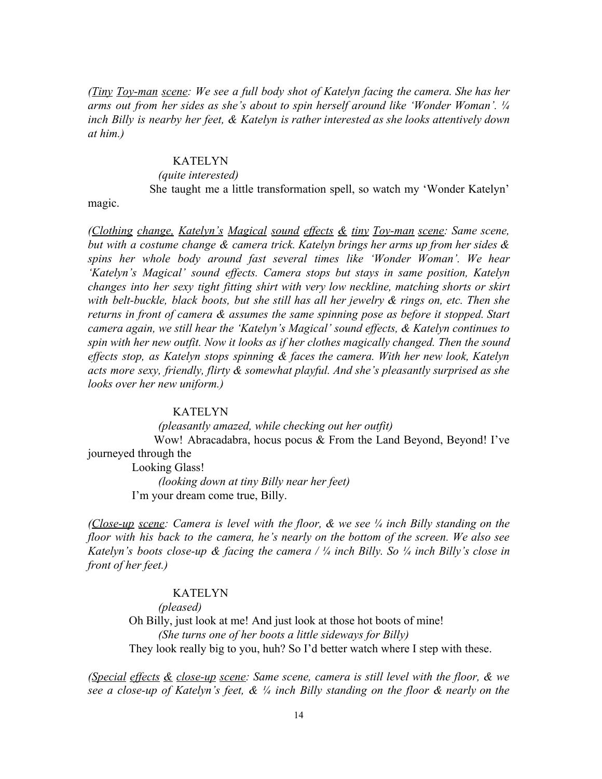*(Tiny Toy-man scene: We see a full body shot of Katelyn facing the camera. She has her arms out from her sides as she's about to spin herself around like 'Wonder Woman'. ¼ inch Billy is nearby her feet, & Katelyn is rather interested as she looks attentively down at him.)*

### KATELYN

# *(quite interested)*

She taught me a little transformation spell, so watch my 'Wonder Katelyn'

magic.

*(Clothing change, Katelyn's Magical sound effects & tiny Toy-man scene: Same scene, but with a costume change & camera trick. Katelyn brings her arms up from her sides & spins her whole body around fast several times like 'Wonder Woman'. We hear 'Katelyn's Magical' sound effects. Camera stops but stays in same position, Katelyn changes into her sexy tight fitting shirt with very low neckline, matching shorts or skirt with belt-buckle, black boots, but she still has all her jewelry & rings on, etc. Then she returns in front of camera & assumes the same spinning pose as before it stopped. Start camera again, we still hear the 'Katelyn's Magical' sound effects, & Katelyn continues to spin with her new outfit. Now it looks as if her clothes magically changed. Then the sound effects stop, as Katelyn stops spinning & faces the camera. With her new look, Katelyn acts more sexy, friendly, flirty & somewhat playful. And she's pleasantly surprised as she looks over her new uniform.)*

#### KATELYN

 *(pleasantly amazed, while checking out her outfit)* Wow! Abracadabra, hocus pocus & From the Land Beyond, Beyond! I've journeyed through the Looking Glass!  *(looking down at tiny Billy near her feet)*

I'm your dream come true, Billy.

*(Close-up scene: Camera is level with the floor, & we see ¼ inch Billy standing on the floor with his back to the camera, he's nearly on the bottom of the screen. We also see Katelyn's boots close-up & facing the camera / ¼ inch Billy. So ¼ inch Billy's close in front of her feet.)*

### KATELYN

 *(pleased)* Oh Billy, just look at me! And just look at those hot boots of mine!  *(She turns one of her boots a little sideways for Billy)* They look really big to you, huh? So I'd better watch where I step with these.

*(Special effects & close-up scene: Same scene, camera is still level with the floor, & we see a close-up of Katelyn's feet, & ¼ inch Billy standing on the floor & nearly on the*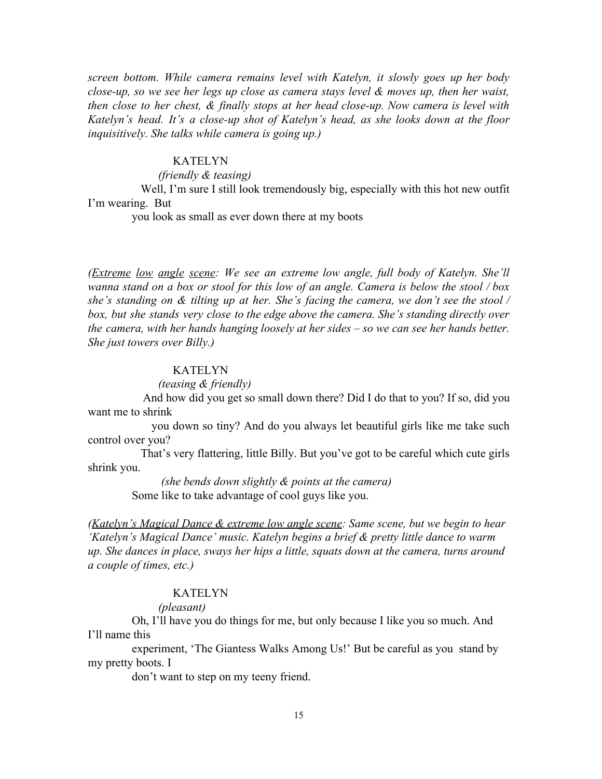*screen bottom. While camera remains level with Katelyn, it slowly goes up her body close-up, so we see her legs up close as camera stays level & moves up, then her waist, then close to her chest, & finally stops at her head close-up. Now camera is level with Katelyn's head. It's a close-up shot of Katelyn's head, as she looks down at the floor inquisitively. She talks while camera is going up.)*

#### KATELYN

*(friendly & teasing)*

Well, I'm sure I still look tremendously big, especially with this hot new outfit I'm wearing. But

you look as small as ever down there at my boots

*(Extreme low angle scene: We see an extreme low angle, full body of Katelyn. She'll* wanna stand on a box or stool for this low of an angle. Camera is below the stool / box *she's standing on & tilting up at her. She's facing the camera, we don't see the stool / box, but she stands very close to the edge above the camera. She's standing directly over the camera, with her hands hanging loosely at her sides – so we can see her hands better. She just towers over Billy.)*

### KATELYN

*(teasing & friendly)*

And how did you get so small down there? Did I do that to you? If so, did you want me to shrink

you down so tiny? And do you always let beautiful girls like me take such control over you?

That's very flattering, little Billy. But you've got to be careful which cute girls shrink you.

> *(she bends down slightly & points at the camera)* Some like to take advantage of cool guys like you.

*(Katelyn's Magical Dance & extreme low angle scene: Same scene, but we begin to hear 'Katelyn's Magical Dance' music. Katelyn begins a brief & pretty little dance to warm up. She dances in place, sways her hips a little, squats down at the camera, turns around a couple of times, etc.)*

### KATELYN

*(pleasant)*

Oh, I'll have you do things for me, but only because I like you so much. And I'll name this

 experiment, 'The Giantess Walks Among Us!' But be careful as you stand by my pretty boots. I

don't want to step on my teeny friend.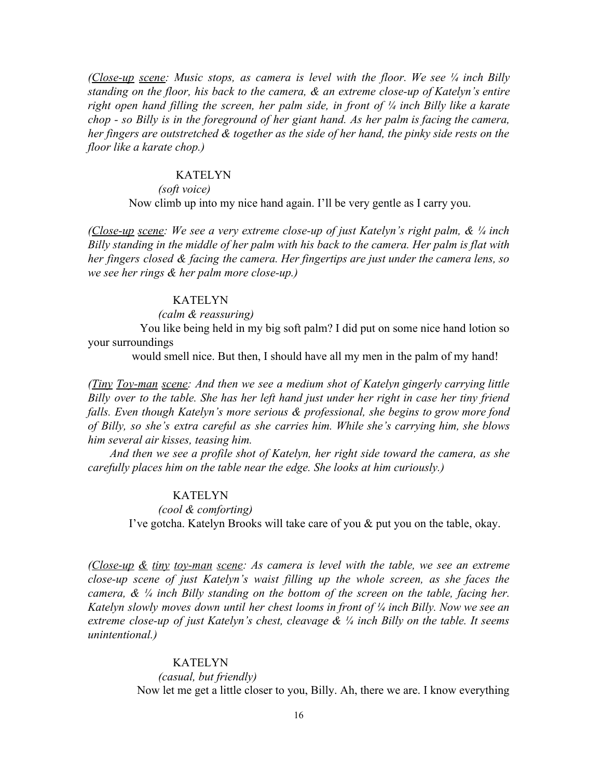*(Close-up scene: Music stops, as camera is level with the floor. We see ¼ inch Billy standing on the floor, his back to the camera, & an extreme close-up of Katelyn's entire right open hand filling the screen, her palm side, in front of ¼ inch Billy like a karate chop - so Billy is in the foreground of her giant hand. As her palm is facing the camera, her fingers are outstretched & together as the side of her hand, the pinky side rests on the floor like a karate chop.)*

#### KATELYN

# *(soft voice)*

Now climb up into my nice hand again. I'll be very gentle as I carry you.

*(Close-up scene: We see a very extreme close-up of just Katelyn's right palm, & ¼ inch Billy standing in the middle of her palm with his back to the camera. Her palm is flat with her fingers closed & facing the camera. Her fingertips are just under the camera lens, so we see her rings & her palm more close-up.)*

#### KATELYN

### *(calm & reassuring)*

You like being held in my big soft palm? I did put on some nice hand lotion so your surroundings

would smell nice. But then, I should have all my men in the palm of my hand!

*(Tiny Toy-man scene: And then we see a medium shot of Katelyn gingerly carrying little Billy over to the table. She has her left hand just under her right in case her tiny friend falls. Even though Katelyn's more serious & professional, she begins to grow more fond of Billy, so she's extra careful as she carries him. While she's carrying him, she blows him several air kisses, teasing him.*

*And then we see a profile shot of Katelyn, her right side toward the camera, as she carefully places him on the table near the edge. She looks at him curiously.)*

#### KATELYN

 *(cool & comforting)* I've gotcha. Katelyn Brooks will take care of you & put you on the table, okay.

*(Close-up & tiny toy-man scene: As camera is level with the table, we see an extreme close-up scene of just Katelyn's waist filling up the whole screen, as she faces the camera, & ¼ inch Billy standing on the bottom of the screen on the table, facing her. Katelyn slowly moves down until her chest looms in front of ¼ inch Billy. Now we see an extreme close-up of just Katelyn's chest, cleavage & ¼ inch Billy on the table. It seems unintentional.)*

> KATELYN *(casual, but friendly)* Now let me get a little closer to you, Billy. Ah, there we are. I know everything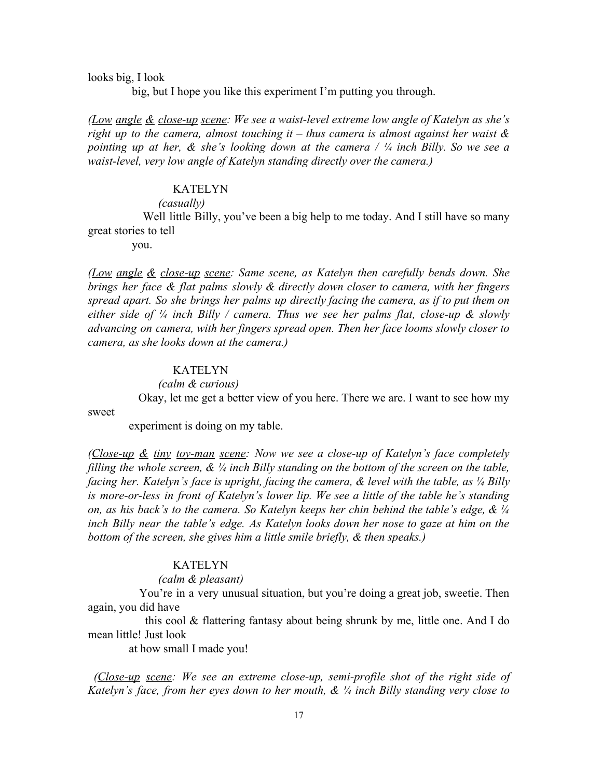looks big, I look

big, but I hope you like this experiment I'm putting you through.

*(Low angle & close-up scene: We see a waist-level extreme low angle of Katelyn as she's right up to the camera, almost touching it – thus camera is almost against her waist & pointing up at her, & she's looking down at the camera / ¼ inch Billy. So we see a waist-level, very low angle of Katelyn standing directly over the camera.)*

# **KATELYN**

# *(casually)*

Well little Billy, you've been a big help to me today. And I still have so many great stories to tell

you.

*(Low angle & close-up scene: Same scene, as Katelyn then carefully bends down. She brings her face & flat palms slowly & directly down closer to camera, with her fingers spread apart. So she brings her palms up directly facing the camera, as if to put them on either side of ¼ inch Billy / camera. Thus we see her palms flat, close-up & slowly advancing on camera, with her fingers spread open. Then her face looms slowly closer to camera, as she looks down at the camera.)*

### KATELYN

### *(calm & curious)*

Okay, let me get a better view of you here. There we are. I want to see how my

sweet

experiment is doing on my table.

*(Close-up & tiny toy-man scene: Now we see a close-up of Katelyn's face completely filling the whole screen, & ¼ inch Billy standing on the bottom of the screen on the table, facing her. Katelyn's face is upright, facing the camera, & level with the table, as ¼ Billy is more-or-less in front of Katelyn's lower lip. We see a little of the table he's standing on, as his back's to the camera. So Katelyn keeps her chin behind the table's edge, & ¼ inch Billy near the table's edge. As Katelyn looks down her nose to gaze at him on the bottom of the screen, she gives him a little smile briefly, & then speaks.)*

### KATELYN

### *(calm & pleasant)*

You're in a very unusual situation, but you're doing a great job, sweetie. Then again, you did have

this cool & flattering fantasy about being shrunk by me, little one. And I do mean little! Just look

at how small I made you!

*(Close-up scene: We see an extreme close-up, semi-profile shot of the right side of Katelyn's face, from her eyes down to her mouth, & ¼ inch Billy standing very close to*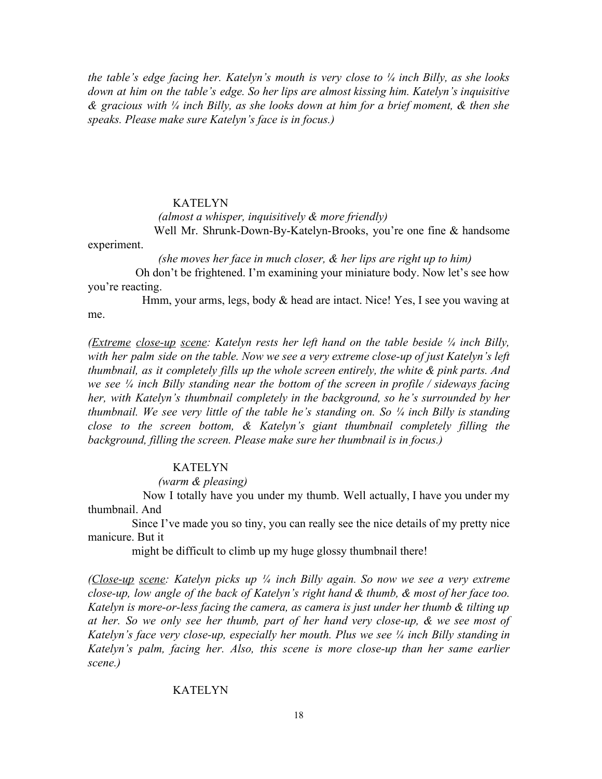*the table's edge facing her. Katelyn's mouth is very close to ¼ inch Billy, as she looks down at him on the table's edge. So her lips are almost kissing him. Katelyn's inquisitive & gracious with ¼ inch Billy, as she looks down at him for a brief moment, & then she speaks. Please make sure Katelyn's face is in focus.)*

#### KATELYN

 *(almost a whisper, inquisitively & more friendly)*

Well Mr. Shrunk-Down-By-Katelyn-Brooks, you're one fine & handsome experiment.

*(she moves her face in much closer, & her lips are right up to him)*

Oh don't be frightened. I'm examining your miniature body. Now let's see how you're reacting.

Hmm, your arms, legs, body & head are intact. Nice! Yes, I see you waving at me.

*(Extreme close-up scene: Katelyn rests her left hand on the table beside ¼ inch Billy, with her palm side on the table. Now we see a very extreme close-up of just Katelyn's left thumbnail, as it completely fills up the whole screen entirely, the white & pink parts. And we see ¼ inch Billy standing near the bottom of the screen in profile / sideways facing her, with Katelyn's thumbnail completely in the background, so he's surrounded by her thumbnail. We see very little of the table he's standing on. So ¼ inch Billy is standing close to the screen bottom, & Katelyn's giant thumbnail completely filling the background, filling the screen. Please make sure her thumbnail is in focus.)*

### KATELYN

 *(warm & pleasing)*

Now I totally have you under my thumb. Well actually, I have you under my thumbnail. And

Since I've made you so tiny, you can really see the nice details of my pretty nice manicure. But it

might be difficult to climb up my huge glossy thumbnail there!

*(Close-up scene: Katelyn picks up ¼ inch Billy again. So now we see a very extreme close-up, low angle of the back of Katelyn's right hand & thumb, & most of her face too. Katelyn is more-or-less facing the camera, as camera is just under her thumb & tilting up at her. So we only see her thumb, part of her hand very close-up, & we see most of Katelyn's face very close-up, especially her mouth. Plus we see ¼ inch Billy standing in Katelyn's palm, facing her. Also, this scene is more close-up than her same earlier scene.)*

### KATELYN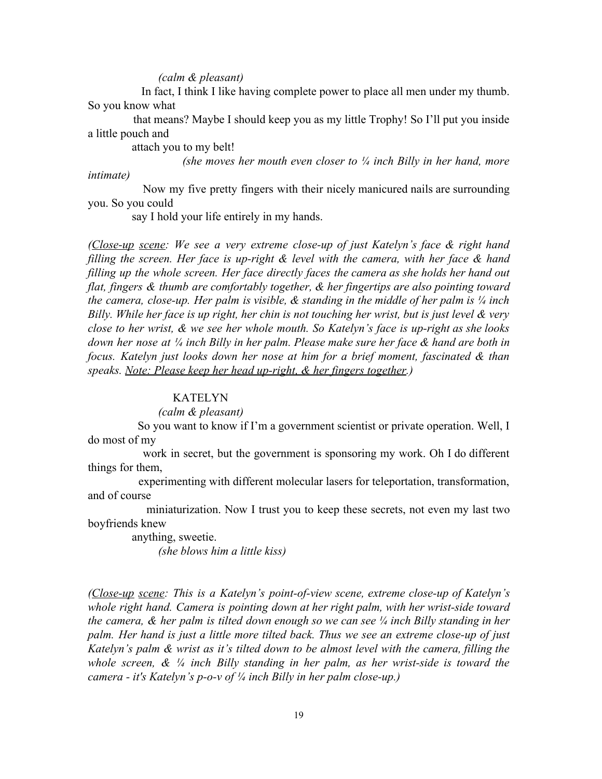#### *(calm & pleasant)*

In fact, I think I like having complete power to place all men under my thumb. So you know what

that means? Maybe I should keep you as my little Trophy! So I'll put you inside a little pouch and

attach you to my belt!

*(she moves her mouth even closer to ¼ inch Billy in her hand, more*

*intimate)*

Now my five pretty fingers with their nicely manicured nails are surrounding you. So you could

say I hold your life entirely in my hands.

*(Close-up scene: We see a very extreme close-up of just Katelyn's face & right hand filling the screen. Her face is up-right & level with the camera, with her face & hand filling up the whole screen. Her face directly faces the camera as she holds her hand out flat, fingers & thumb are comfortably together, & her fingertips are also pointing toward the camera, close-up. Her palm is visible, & standing in the middle of her palm is ¼ inch* Billy. While her face is up right, her chin is not touching her wrist, but is just level & very *close to her wrist, & we see her whole mouth. So Katelyn's face is up-right as she looks* down her nose at  $\frac{1}{4}$  inch Billy in her palm. Please make sure her face & hand are both in *focus. Katelyn just looks down her nose at him for a brief moment, fascinated & than speaks. Note: Please keep her head up-right, & her fingers together.)*

#### KATELYN

*(calm & pleasant)*

So you want to know if I'm a government scientist or private operation. Well, I do most of my

work in secret, but the government is sponsoring my work. Oh I do different things for them,

experimenting with different molecular lasers for teleportation, transformation, and of course

miniaturization. Now I trust you to keep these secrets, not even my last two boyfriends knew

> anything, sweetie. *(she blows him a little kiss)*

*(Close-up scene: This is a Katelyn's point-of-view scene, extreme close-up of Katelyn's whole right hand. Camera is pointing down at her right palm, with her wrist-side toward the camera, & her palm is tilted down enough so we can see ¼ inch Billy standing in her palm. Her hand is just a little more tilted back. Thus we see an extreme close-up of just Katelyn's palm & wrist as it's tilted down to be almost level with the camera, filling the whole screen, & ¼ inch Billy standing in her palm, as her wrist-side is toward the camera - it's Katelyn's p-o-v of ¼ inch Billy in her palm close-up.)*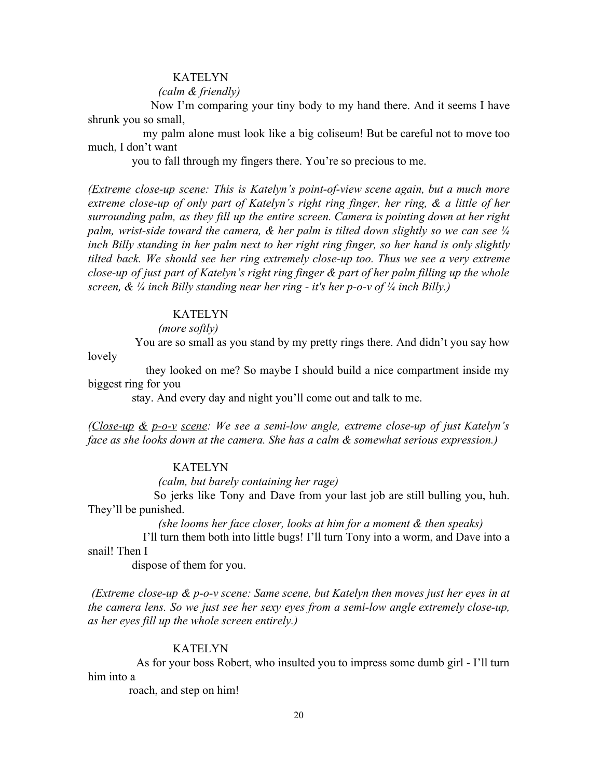#### *(calm & friendly)*

Now I'm comparing your tiny body to my hand there. And it seems I have shrunk you so small,

my palm alone must look like a big coliseum! But be careful not to move too much, I don't want

you to fall through my fingers there. You're so precious to me.

*(Extreme close-up scene: This is Katelyn's point-of-view scene again, but a much more extreme close-up of only part of Katelyn's right ring finger, her ring, & a little of her surrounding palm, as they fill up the entire screen. Camera is pointing down at her right palm, wrist-side toward the camera, & her palm is tilted down slightly so we can see ¼ inch Billy standing in her palm next to her right ring finger, so her hand is only slightly tilted back. We should see her ring extremely close-up too. Thus we see a very extreme close-up of just part of Katelyn's right ring finger & part of her palm filling up the whole screen, & ¼ inch Billy standing near her ring - it's her p-o-v of ¼ inch Billy.)*

#### **KATELYN**

#### *(more softly)*

You are so small as you stand by my pretty rings there. And didn't you say how lovely

they looked on me? So maybe I should build a nice compartment inside my biggest ring for you

stay. And every day and night you'll come out and talk to me.

*(Close-up & p-o-v scene: We see a semi-low angle, extreme close-up of just Katelyn's face as she looks down at the camera. She has a calm & somewhat serious expression.)*

# KATELYN

*(calm, but barely containing her rage)*

So jerks like Tony and Dave from your last job are still bulling you, huh. They'll be punished.

*(she looms her face closer, looks at him for a moment & then speaks)*

I'll turn them both into little bugs! I'll turn Tony into a worm, and Dave into a snail! Then I

dispose of them for you.

*(Extreme close-up & p-o-v scene: Same scene, but Katelyn then moves just her eyes in at the camera lens. So we just see her sexy eyes from a semi-low angle extremely close-up, as her eyes fill up the whole screen entirely.)*

#### KATELYN

As for your boss Robert, who insulted you to impress some dumb girl - I'll turn him into a

roach, and step on him!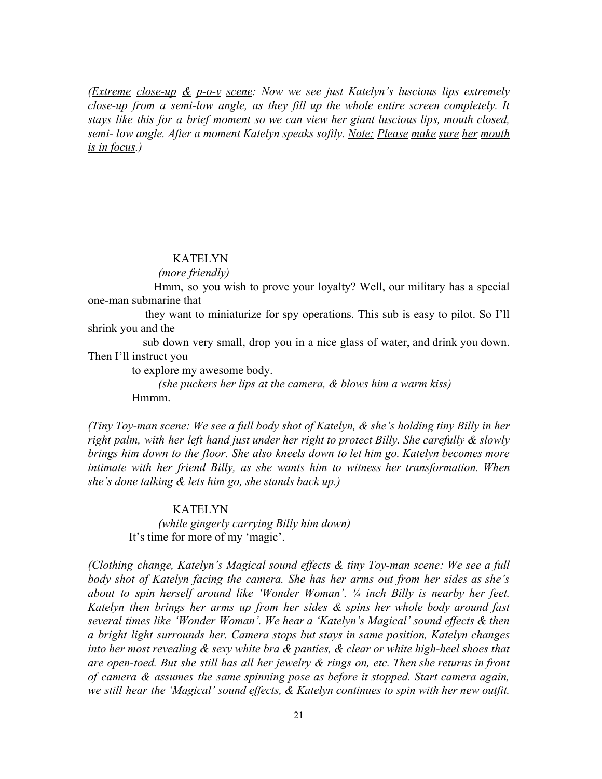*(Extreme close-up & p-o-v scene: Now we see just Katelyn's luscious lips extremely close-up from a semi-low angle, as they fill up the whole entire screen completely. It stays like this for a brief moment so we can view her giant luscious lips, mouth closed, semi- low angle. After a moment Katelyn speaks softly. Note: Please make sure her mouth is in focus.)*

#### KATELYN

*(more friendly)*

Hmm, so you wish to prove your loyalty? Well, our military has a special one-man submarine that

they want to miniaturize for spy operations. This sub is easy to pilot. So I'll shrink you and the

sub down very small, drop you in a nice glass of water, and drink you down. Then I'll instruct you

to explore my awesome body.

 *(she puckers her lips at the camera, & blows him a warm kiss)* Hmmm.

*(Tiny Toy-man scene: We see a full body shot of Katelyn, & she's holding tiny Billy in her right palm, with her left hand just under her right to protect Billy. She carefully & slowly brings him down to the floor. She also kneels down to let him go. Katelyn becomes more intimate with her friend Billy, as she wants him to witness her transformation. When she's done talking & lets him go, she stands back up.)*

### KATELYN

 *(while gingerly carrying Billy him down)* It's time for more of my 'magic'.

*(Clothing change, Katelyn's Magical sound effects & tiny Toy-man scene: We see a full body shot of Katelyn facing the camera. She has her arms out from her sides as she's about to spin herself around like 'Wonder Woman'. ¼ inch Billy is nearby her feet. Katelyn then brings her arms up from her sides & spins her whole body around fast several times like 'Wonder Woman'. We hear a 'Katelyn's Magical' sound effects & then a bright light surrounds her. Camera stops but stays in same position, Katelyn changes into her most revealing & sexy white bra & panties, & clear or white high-heel shoes that are open-toed. But she still has all her jewelry & rings on, etc. Then she returns in front of camera & assumes the same spinning pose as before it stopped. Start camera again, we still hear the 'Magical' sound effects, & Katelyn continues to spin with her new outfit.*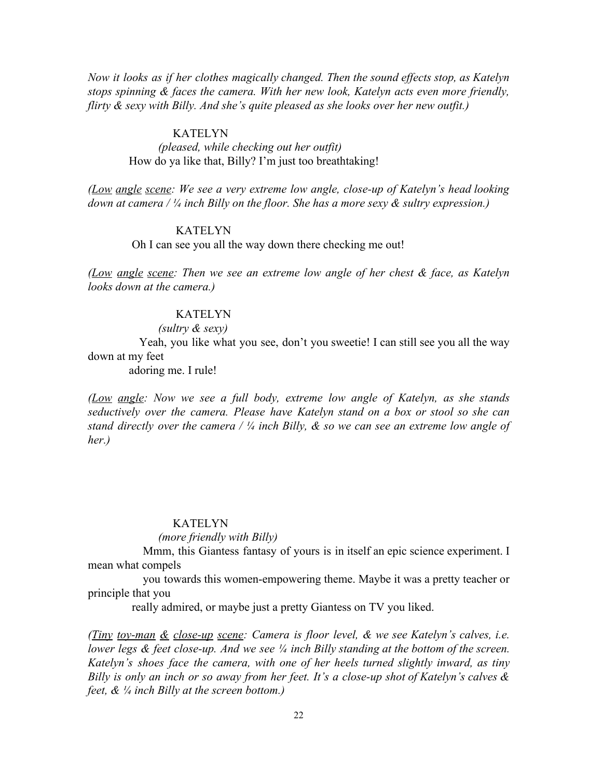*Now it looks as if her clothes magically changed. Then the sound effects stop, as Katelyn stops spinning & faces the camera. With her new look, Katelyn acts even more friendly, flirty & sexy with Billy. And she's quite pleased as she looks over her new outfit.)*

### KATELYN

# *(pleased, while checking out her outfit)* How do ya like that, Billy? I'm just too breathtaking!

*(Low angle scene: We see a very extreme low angle, close-up of Katelyn's head looking down at camera / ¼ inch Billy on the floor. She has a more sexy & sultry expression.)*

### KATELYN

Oh I can see you all the way down there checking me out!

*(Low angle scene: Then we see an extreme low angle of her chest & face, as Katelyn looks down at the camera.)*

### **KATELYN**

#### *(sultry & sexy)*

Yeah, you like what you see, don't you sweetie! I can still see you all the way down at my feet

adoring me. I rule!

*(Low angle: Now we see a full body, extreme low angle of Katelyn, as she stands seductively over the camera. Please have Katelyn stand on a box or stool so she can stand directly over the camera / ¼ inch Billy, & so we can see an extreme low angle of her.)*

#### **KATELYN**

### *(more friendly with Billy)*

Mmm, this Giantess fantasy of yours is in itself an epic science experiment. I mean what compels

you towards this women-empowering theme. Maybe it was a pretty teacher or principle that you

really admired, or maybe just a pretty Giantess on TV you liked.

*(Tiny toy-man & close-up scene: Camera is floor level, & we see Katelyn's calves, i.e. lower legs & feet close-up. And we see ¼ inch Billy standing at the bottom of the screen. Katelyn's shoes face the camera, with one of her heels turned slightly inward, as tiny Billy is only an inch or so away from her feet. It's a close-up shot of Katelyn's calves & feet, & ¼ inch Billy at the screen bottom.)*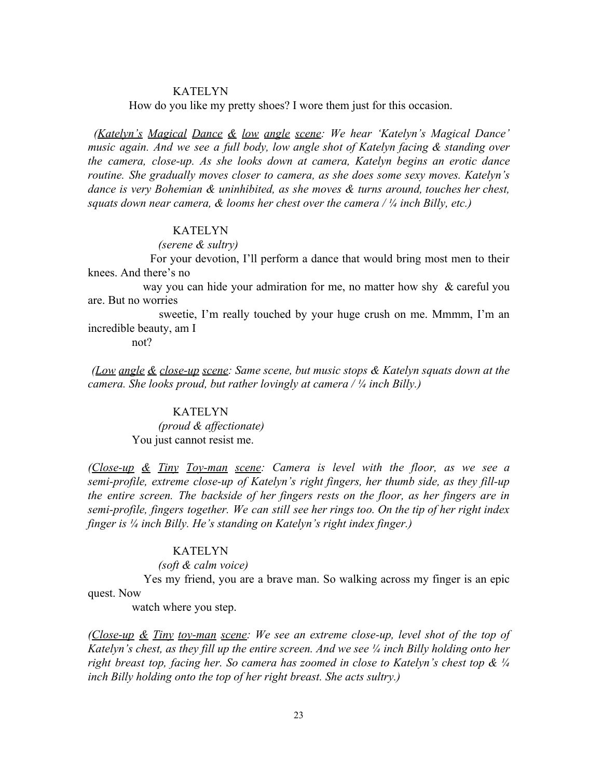How do you like my pretty shoes? I wore them just for this occasion.

*(Katelyn's Magical Dance & low angle scene: We hear 'Katelyn's Magical Dance' music again. And we see a full body, low angle shot of Katelyn facing & standing over the camera, close-up. As she looks down at camera, Katelyn begins an erotic dance routine. She gradually moves closer to camera, as she does some sexy moves. Katelyn's dance is very Bohemian & uninhibited, as she moves & turns around, touches her chest, squats down near camera, & looms her chest over the camera / ¼ inch Billy, etc.)*

### KATELYN

 *(serene & sultry)*

For your devotion, I'll perform a dance that would bring most men to their knees. And there's no

way you can hide your admiration for me, no matter how shy & careful you are. But no worries

sweetie, I'm really touched by your huge crush on me. Mmmm, I'm an incredible beauty, am I

not?

*(Low angle & close-up scene: Same scene, but music stops & Katelyn squats down at the camera. She looks proud, but rather lovingly at camera / ¼ inch Billy.)*

# KATELYN

 *(proud & affectionate)* You just cannot resist me.

*(Close-up & Tiny Toy-man scene: Camera is level with the floor, as we see a semi-profile, extreme close-up of Katelyn's right fingers, her thumb side, as they fill-up the entire screen. The backside of her fingers rests on the floor, as her fingers are in semi-profile, fingers together. We can still see her rings too. On the tip of her right index finger is ¼ inch Billy. He's standing on Katelyn's right index finger.)*

#### KATELYN

*(soft & calm voice)*

Yes my friend, you are a brave man. So walking across my finger is an epic quest. Now

watch where you step.

*(Close-up & Tiny toy-man scene: We see an extreme close-up, level shot of the top of Katelyn's chest, as they fill up the entire screen. And we see ¼ inch Billy holding onto her right breast top, facing her. So camera has zoomed in close to Katelyn's chest top & ¼ inch Billy holding onto the top of her right breast. She acts sultry.)*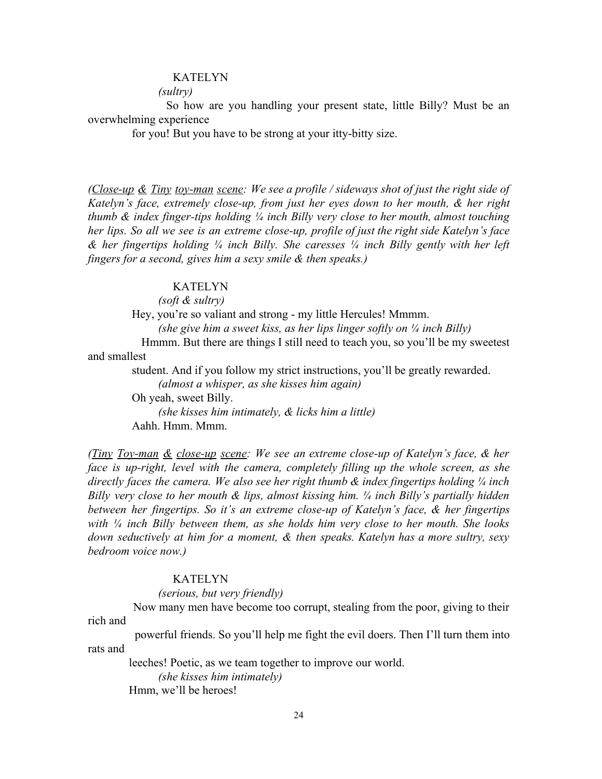#### *(sultry)*

So how are you handling your present state, little Billy? Must be an overwhelming experience

for you! But you have to be strong at your itty-bitty size.

*(Close-up & Tiny toy-man scene: We see a profile / sideways shot of just the right side of Katelyn's face, extremely close-up, from just her eyes down to her mouth, & her right thumb & index finger-tips holding ¼ inch Billy very close to her mouth, almost touching her lips. So all we see is an extreme close-up, profile of just the right side Katelyn's face & her fingertips holding ¼ inch Billy. She caresses ¼ inch Billy gently with her left fingers for a second, gives him a sexy smile & then speaks.)*

# KATELYN

*(soft & sultry)*

Hey, you're so valiant and strong - my little Hercules! Mmmm. *(she give him a sweet kiss, as her lips linger softly on ¼ inch Billy)* Hmmm. But there are things I still need to teach you, so you'll be my sweetest and smallest student. And if you follow my strict instructions, you'll be greatly rewarded.

 *(almost a whisper, as she kisses him again)* Oh yeah, sweet Billy. *(she kisses him intimately, & licks him a little)*

Aahh. Hmm. Mmm.

*(Tiny Toy-man & close-up scene: We see an extreme close-up of Katelyn's face, & her face is up-right, level with the camera, completely filling up the whole screen, as she directly faces the camera. We also see her right thumb & index fingertips holding ¼ inch Billy very close to her mouth & lips, almost kissing him. ¼ inch Billy's partially hidden between her fingertips. So it's an extreme close-up of Katelyn's face, & her fingertips with ¼ inch Billy between them, as she holds him very close to her mouth. She looks down seductively at him for a moment, & then speaks. Katelyn has a more sultry, sexy bedroom voice now.)*

### KATELYN

*(serious, but very friendly)*

Now many men have become too corrupt, stealing from the poor, giving to their rich and

powerful friends. So you'll help me fight the evil doers. Then I'll turn them into rats and

leeches! Poetic, as we team together to improve our world.

*(she kisses him intimately)*

Hmm, we'll be heroes!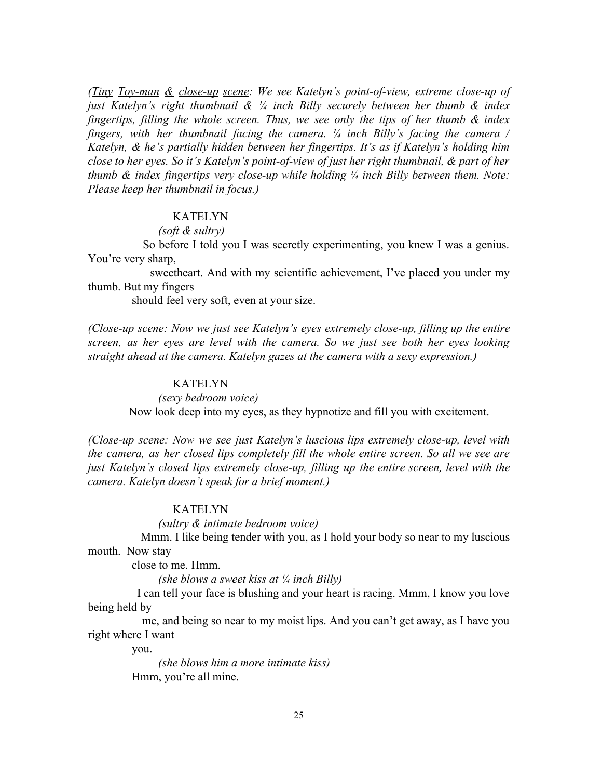*(Tiny Toy-man & close-up scene: We see Katelyn's point-of-view, extreme close-up of just Katelyn's right thumbnail & ¼ inch Billy securely between her thumb & index fingertips, filling the whole screen. Thus, we see only the tips of her thumb & index fingers, with her thumbnail facing the camera. ¼ inch Billy's facing the camera / Katelyn, & he's partially hidden between her fingertips. It's as if Katelyn's holding him close to her eyes. So it's Katelyn's point-of-view of just her right thumbnail, & part of her thumb & index fingertips very close-up while holding ¼ inch Billy between them. Note: Please keep her thumbnail in focus.)*

# KATELYN

#### *(soft & sultry)*

So before I told you I was secretly experimenting, you knew I was a genius. You're very sharp,

sweetheart. And with my scientific achievement, I've placed you under my thumb. But my fingers

should feel very soft, even at your size.

*(Close-up scene: Now we just see Katelyn's eyes extremely close-up, filling up the entire screen, as her eyes are level with the camera. So we just see both her eyes looking straight ahead at the camera. Katelyn gazes at the camera with a sexy expression.)*

### KATELYN

*(sexy bedroom voice)*

Now look deep into my eyes, as they hypnotize and fill you with excitement.

*(Close-up scene: Now we see just Katelyn's luscious lips extremely close-up, level with the camera, as her closed lips completely fill the whole entire screen. So all we see are just Katelyn's closed lips extremely close-up, filling up the entire screen, level with the camera. Katelyn doesn't speak for a brief moment.)*

### KATELYN

*(sultry & intimate bedroom voice)*

Mmm. I like being tender with you, as I hold your body so near to my luscious mouth. Now stay

close to me. Hmm.

*(she blows a sweet kiss at ¼ inch Billy)*

I can tell your face is blushing and your heart is racing. Mmm, I know you love being held by

me, and being so near to my moist lips. And you can't get away, as I have you right where I want

you.

 *(she blows him a more intimate kiss)* Hmm, you're all mine.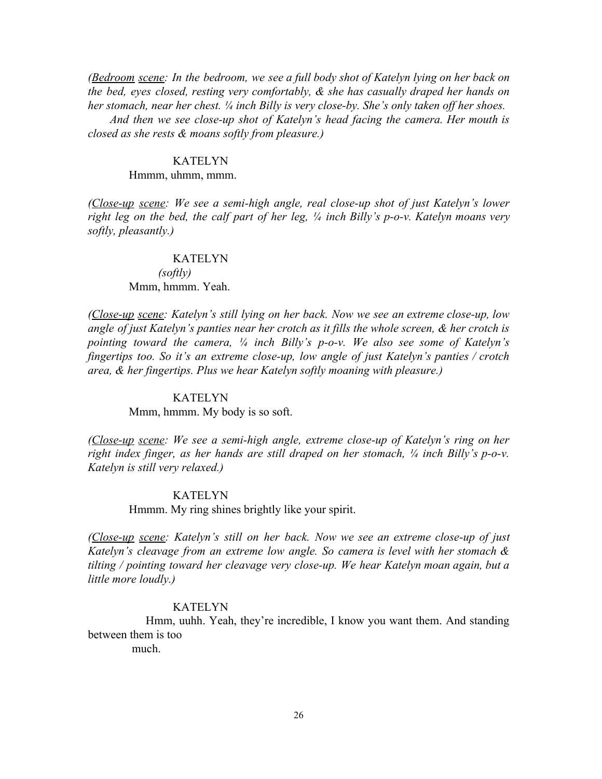*(Bedroom scene: In the bedroom, we see a full body shot of Katelyn lying on her back on the bed, eyes closed, resting very comfortably, & she has casually draped her hands on her stomach, near her chest. ¼ inch Billy is very close-by. She's only taken off her shoes.*

*And then we see close-up shot of Katelyn's head facing the camera. Her mouth is closed as she rests & moans softly from pleasure.)*

#### KATELYN

#### Hmmm, uhmm, mmm.

*(Close-up scene: We see a semi-high angle, real close-up shot of just Katelyn's lower right leg on the bed, the calf part of her leg, ¼ inch Billy's p-o-v. Katelyn moans very softly, pleasantly.)*

### KATELYN

### *(softly)* Mmm, hmmm. Yeah.

*(Close-up scene: Katelyn's still lying on her back. Now we see an extreme close-up, low angle of just Katelyn's panties near her crotch as it fills the whole screen, & her crotch is pointing toward the camera, ¼ inch Billy's p-o-v. We also see some of Katelyn's fingertips too. So it's an extreme close-up, low angle of just Katelyn's panties / crotch area, & her fingertips. Plus we hear Katelyn softly moaning with pleasure.)*

#### KATELYN

Mmm, hmmm. My body is so soft.

*(Close-up scene: We see a semi-high angle, extreme close-up of Katelyn's ring on her right index finger, as her hands are still draped on her stomach, ¼ inch Billy's p-o-v. Katelyn is still very relaxed.)*

#### KATELYN

Hmmm. My ring shines brightly like your spirit.

*(Close-up scene: Katelyn's still on her back. Now we see an extreme close-up of just Katelyn's cleavage from an extreme low angle. So camera is level with her stomach & tilting / pointing toward her cleavage very close-up. We hear Katelyn moan again, but a little more loudly.)*

# KATELYN

Hmm, uuhh. Yeah, they're incredible, I know you want them. And standing between them is too

much.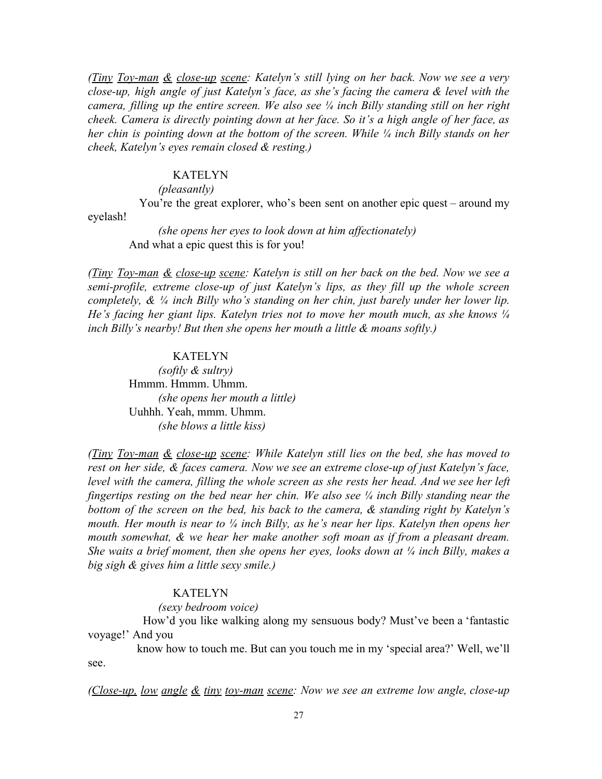*(Tiny Toy-man & close-up scene: Katelyn's still lying on her back. Now we see a very close-up, high angle of just Katelyn's face, as she's facing the camera & level with the camera, filling up the entire screen. We also see ¼ inch Billy standing still on her right cheek. Camera is directly pointing down at her face. So it's a high angle of her face, as her chin is pointing down at the bottom of the screen. While ¼ inch Billy stands on her cheek, Katelyn's eyes remain closed & resting.)*

#### KATELYN

#### *(pleasantly)*

You're the great explorer, who's been sent on another epic quest – around my eyelash!

 *(she opens her eyes to look down at him affectionately)* And what a epic quest this is for you!

*(Tiny Toy-man & close-up scene: Katelyn is still on her back on the bed. Now we see a semi-profile, extreme close-up of just Katelyn's lips, as they fill up the whole screen completely, & ¼ inch Billy who's standing on her chin, just barely under her lower lip. He's facing her giant lips. Katelyn tries not to move her mouth much, as she knows ¼ inch Billy's nearby! But then she opens her mouth a little & moans softly.)*

#### KATELYN

 *(softly & sultry)* Hmmm. Hmmm. Uhmm. *(she opens her mouth a little)* Uuhhh. Yeah, mmm. Uhmm.  *(she blows a little kiss)*

*(Tiny Toy-man & close-up scene: While Katelyn still lies on the bed, she has moved to rest on her side, & faces camera. Now we see an extreme close-up of just Katelyn's face, level with the camera, filling the whole screen as she rests her head. And we see her left fingertips resting on the bed near her chin. We also see ¼ inch Billy standing near the bottom of the screen on the bed, his back to the camera, & standing right by Katelyn's mouth. Her mouth is near to ¼ inch Billy, as he's near her lips. Katelyn then opens her mouth somewhat, & we hear her make another soft moan as if from a pleasant dream. She waits a brief moment, then she opens her eyes, looks down at ¼ inch Billy, makes a big sigh & gives him a little sexy smile.)*

### KATELYN

 *(sexy bedroom voice)*

How'd you like walking along my sensuous body? Must've been a 'fantastic voyage!' And you

know how to touch me. But can you touch me in my 'special area?' Well, we'll see.

*(Close-up, low angle & tiny toy-man scene: Now we see an extreme low angle, close-up*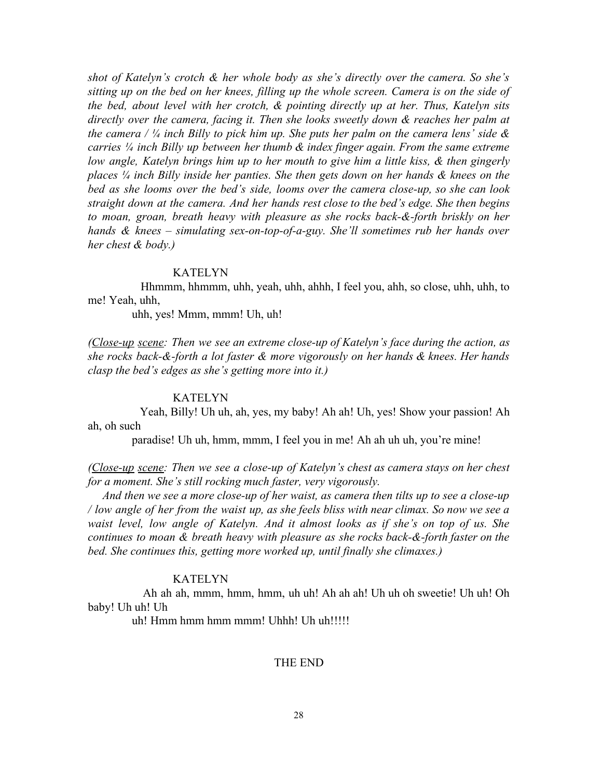*shot of Katelyn's crotch & her whole body as she's directly over the camera. So she's sitting up on the bed on her knees, filling up the whole screen. Camera is on the side of the bed, about level with her crotch, & pointing directly up at her. Thus, Katelyn sits directly over the camera, facing it. Then she looks sweetly down & reaches her palm at* the camera /  $\frac{1}{4}$  inch Billy to pick him up. She puts her palm on the camera lens' side & *carries ¼ inch Billy up between her thumb & index finger again. From the same extreme low angle, Katelyn brings him up to her mouth to give him a little kiss, & then gingerly places ¼ inch Billy inside her panties. She then gets down on her hands & knees on the bed as she looms over the bed's side, looms over the camera close-up, so she can look straight down at the camera. And her hands rest close to the bed's edge. She then begins to moan, groan, breath heavy with pleasure as she rocks back-&-forth briskly on her hands & knees – simulating sex-on-top-of-a-guy. She'll sometimes rub her hands over her chest & body.)*

### KATELYN

Hhmmm, hhmmm, uhh, yeah, uhh, ahhh, I feel you, ahh, so close, uhh, uhh, to me! Yeah, uhh,

uhh, yes! Mmm, mmm! Uh, uh!

*(Close-up scene: Then we see an extreme close-up of Katelyn's face during the action, as she rocks back-&-forth a lot faster & more vigorously on her hands & knees. Her hands clasp the bed's edges as she's getting more into it.)*

### KATELYN

Yeah, Billy! Uh uh, ah, yes, my baby! Ah ah! Uh, yes! Show your passion! Ah ah, oh such

paradise! Uh uh, hmm, mmm, I feel you in me! Ah ah uh uh, you're mine!

*(Close-up scene: Then we see a close-up of Katelyn's chest as camera stays on her chest for a moment. She's still rocking much faster, very vigorously.*

*And then we see a more close-up of her waist, as camera then tilts up to see a close-up* / low angle of her from the waist up, as she feels bliss with near climax. So now we see a *waist level, low angle of Katelyn. And it almost looks as if she's on top of us. She continues to moan & breath heavy with pleasure as she rocks back-&-forth faster on the bed. She continues this, getting more worked up, until finally she climaxes.)*

#### KATELYN

Ah ah ah, mmm, hmm, hmm, uh uh! Ah ah ah! Uh uh oh sweetie! Uh uh! Oh baby! Uh uh! Uh

uh! Hmm hmm hmm mmm! Uhhh! Uh uh!!!!!

### THE END